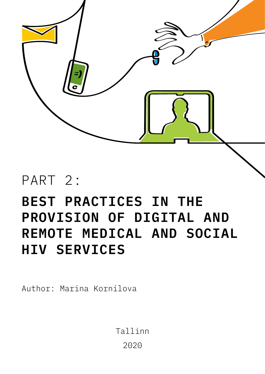

# PART 2:

# **BEST PRACTICES IN THE PROVISION OF DIGITAL AND REMOTE MEDICAL AND SOCIAL HIV SERVICES**

Author: Marina Kornilova

Tallinn 2020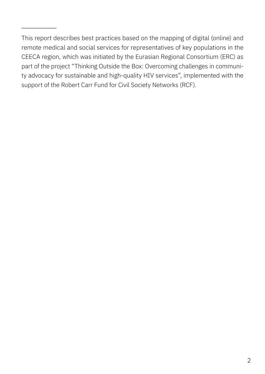This report describes best practices based on the mapping of digital (online) and remote medical and social services for representatives of key populations in the CEECA region, which was initiated by the Eurasian Regional Consortium (ERC) as part of the project "Thinking Outside the Box: Overcoming challenges in community advocacy for sustainable and high-quality HIV services", implemented with the support of the Robert Carr Fund for Civil Society Networks (RCF).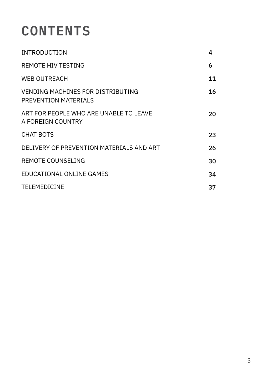# **CONTENTS**

| <b>INTRODUCTION</b>                                                     | 4  |
|-------------------------------------------------------------------------|----|
| <b>REMOTE HIV TESTING</b>                                               | 6  |
| <b>WEB OUTREACH</b>                                                     | 11 |
| <b>VENDING MACHINES FOR DISTRIBUTING</b><br><b>PREVENTION MATERIALS</b> | 16 |
| ART FOR PEOPLE WHO ARE UNABLE TO LEAVE<br>A FOREIGN COUNTRY             | 20 |
| <b>CHAT BOTS</b>                                                        | 23 |
| DELIVERY OF PREVENTION MATERIALS AND ART                                | 26 |
| <b>REMOTE COUNSELING</b>                                                | 30 |
| <b>EDUCATIONAL ONLINE GAMES</b>                                         | 34 |
| <b>TELEMEDICINE</b>                                                     | 37 |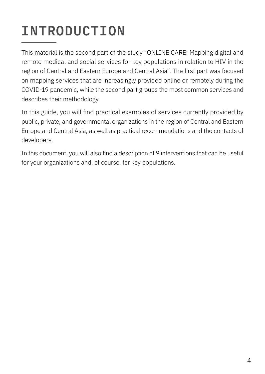# **INTRODUCTION**

This material is the second part of the study "ONLINE CARE: Mapping digital and remote medical and social services for key populations in relation to HIV in the region of Central and Eastern Europe and Central Asia". The first part was focused on mapping services that are increasingly provided online or remotely during the COVID-19 pandemic, while the second part groups the most common services and describes their methodology.

In this guide, you will find practical examples of services currently provided by public, private, and governmental organizations in the region of Central and Eastern Europe and Central Asia, as well as practical recommendations and the contacts of developers.

In this document, you will also find a description of 9 interventions that can be useful for your organizations and, of course, for key populations.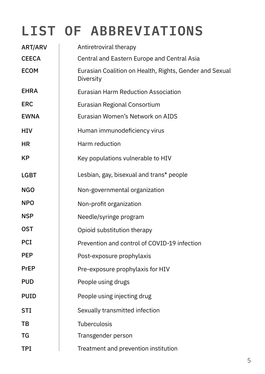# **LIST OF ABBREVIATIONS**

| ART/ARV      | Antiretroviral therapy                                               |
|--------------|----------------------------------------------------------------------|
| <b>CEECA</b> | Central and Eastern Europe and Central Asia                          |
| <b>ECOM</b>  | Eurasian Coalition on Health, Rights, Gender and Sexual<br>Diversity |
| <b>EHRA</b>  | <b>Eurasian Harm Reduction Association</b>                           |
| <b>ERC</b>   | Eurasian Regional Consortium                                         |
| <b>EWNA</b>  | Eurasian Women's Network on AIDS                                     |
| <b>HIV</b>   | Human immunodeficiency virus                                         |
| HR           | Harm reduction                                                       |
| <b>KP</b>    | Key populations vulnerable to HIV                                    |
| <b>LGBT</b>  | Lesbian, gay, bisexual and trans* people                             |
| <b>NGO</b>   | Non-governmental organization                                        |
| <b>NPO</b>   | Non-profit organization                                              |
| <b>NSP</b>   | Needle/syringe program                                               |
| <b>OST</b>   | Opioid substitution therapy                                          |
| <b>PCI</b>   | Prevention and control of COVID-19 infection                         |
| <b>PEP</b>   | Post-exposure prophylaxis                                            |
| <b>PrEP</b>  | Pre-exposure prophylaxis for HIV                                     |
| <b>PUD</b>   | People using drugs                                                   |
| <b>PUID</b>  | People using injecting drug                                          |
| <b>STI</b>   | Sexually transmitted infection                                       |
| TВ           | <b>Tuberculosis</b>                                                  |
| TG           | Transgender person                                                   |
| <b>TPI</b>   | Treatment and prevention institution                                 |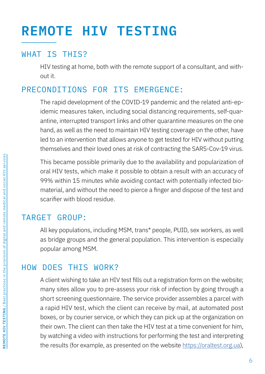# **REMOTE HIV TESTING**

## WHAT IS THIS?

HIV testing at home, both with the remote support of a consultant, and without it.

## PRECONDITIONS FOR ITS EMERGENCE:

The rapid development of the COVID-19 pandemic and the related anti-epidemic measures taken, including social distancing requirements, self-quarantine, interrupted transport links and other quarantine measures on the one hand, as well as the need to maintain HIV testing coverage on the other, have led to an intervention that allows anyone to get tested for HIV without putting themselves and their loved ones at risk of contracting the SARS-Cov-19 virus.

This became possible primarily due to the availability and popularization of oral HIV tests, which make it possible to obtain a result with an accuracy of 99% within 15 minutes while avoiding contact with potentially infected biomaterial, and without the need to pierce a finger and dispose of the test and scarifier with blood residue.

## TARGET GROUP:

All key populations, including MSM, trans\* people, PUID, sex workers, as well as bridge groups and the general population. This intervention is especially popular among MSM.

## HOW DOES THIS WORK?

A client wishing to take an HIV test fills out a registration form on the website; many sites allow you to pre-assess your risk of infection by going through a short screening questionnaire. The service provider assembles a parcel with a rapid HIV test, which the client can receive by mail, at automated post boxes, or by courier service, or which they can pick up at the organization on their own. The client can then take the HIV test at a time convenient for him, by watching a video with instructions for performing the test and interpreting the results (for example, as presented on the website [https://oraltest.org.ua\)](https://oraltest.org.ua),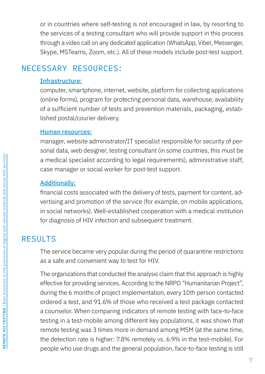or in countries where self-testing is not encouraged in law, by resorting to the services of a testing consultant who will provide support in this process through a video call on any dedicated application (WhatsApp, Viber, Messenger, Skype, MSTeams, Zoom, etc.). All of these models include post-test support.

## NECESSARY RESOURCES:

#### Infrastructure:

computer, smartphone, internet, website, platform for collecting applications (online forms), program for protecting personal data, warehouse, availability of a sufficient number of tests and prevention materials, packaging, established postal/courier delivery.

#### Human resources:

manager, website administrator/IT specialist responsible for security of personal data, web designer, testing consultant (in some countries, this must be a medical specialist according to legal requirements), administrative staff, case manager or social worker for post-test support.

#### Additionally:

financial costs associated with the delivery of tests, payment for content, advertising and promotion of the service (for example, on mobile applications, in social networks). Well-established cooperation with a medical institution for diagnosis of HIV infection and subsequent treatment.

## RESULTS

The service became very popular during the period of quarantine restrictions as a safe and convenient way to test for HIV.

The organizations that conducted the analysis claim that this approach is highly effective for providing services. According to the NRPO "Humanitarian Project", during the 6 months of project implementation, every 10th person contacted ordered a test, and 91.6% of those who received a test package contacted a counselor. When comparing indicators of remote testing with face-to-face testing in a test-mobile among different key populations, it was shown that remote testing was 3 times more in demand among MSM (at the same time, the detection rate is higher: 7.8% remotely vs. 6.9% in the test-mobile). For people who use drugs and the general population, face-to-face testing is still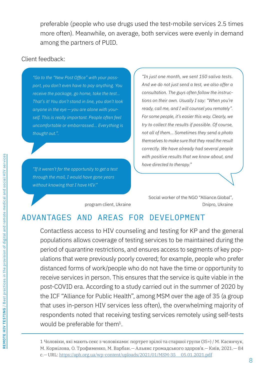preferable (people who use drugs used the test-mobile services 2.5 times more often). Meanwhile, on average, both services were evenly in demand among the partners of PUID.

### Client feedback:

*"Go to the "New Post Office" with your passport, you don't even have to pay anything. You receive the package, go home, take the test… That's it! You don't stand in line, you don't look anyone in the eye — you are alone with yourself. This is really important. People often feel uncomfortable or embarrassed… Everything is thought out.".*

*"If it weren't for the opportunity to get a test through the mail, I would have gone years without knowing that I have HIV."*

*"In just one month, we sent 150 saliva tests. And we do not just send a test, we also offer a consultation. The guys often follow the instructions on their own. Usually I say: "When you're ready, call me, and I will counsel you remotely". For some people, it's easier this way. Clearly, we try to collect the results if possible. Of course, not all of them… Sometimes they send a photo themselves to make sure that they read the result correctly. We have already had several people with positive results that we know about, and have directed to therapy."*

program client, Ukraine

Social worker of the NGO "Alliance.Global", Dnipro, Ukraine

## ADVANTAGES AND AREAS FOR DEVELOPMENT

Contactless access to HIV counseling and testing for KP and the general populations allows coverage of testing services to be maintained during the period of quarantine restrictions, and ensures access to segments of key populations that were previously poorly covered; for example, people who prefer distanced forms of work/people who do not have the time or opportunity to receive services in person. This ensures that the service is quite viable in the post-COVID era. According to a study carried out in the summer of 2020 by the ICF "Alliance for Public Health", among MSM over the age of 35 (a group that uses in-person HIV services less often), the overwhelming majority of respondents noted that receiving testing services remotely using self-tests would be preferable for them<sup>1</sup>.

1 Чоловіки, які мають секс з чоловіками: портрет зрілої та старшої групи (35+) / М. Касянчук, М. Корнілова, О. Трофименко, М. Варбан.— Альянс громадського здоров'я.— Київ, 2021.— 84 с.— URL: [https://aph.org.ua/wp-content/uploads/2021/01/MSM‑35\\_\\_05.01.2021.pdf]( https://aph.org.ua/wp-content/uploads/2021/01/MSM-35__05.01.2021.pdf)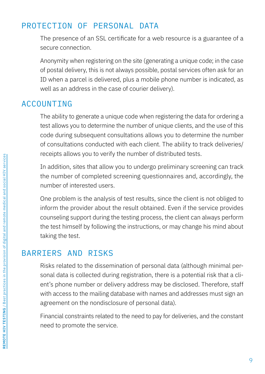## PROTECTION OF PERSONAL DATA

The presence of an SSL certificate for a web resource is a guarantee of a secure connection.

Anonymity when registering on the site (generating a unique code; in the case of postal delivery, this is not always possible, postal services often ask for an ID when a parcel is delivered, plus a mobile phone number is indicated, as well as an address in the case of courier delivery).

## ACCOUNTING

The ability to generate a unique code when registering the data for ordering a test allows you to determine the number of unique clients, and the use of this code during subsequent consultations allows you to determine the number of consultations conducted with each client. The ability to track deliveries/ receipts allows you to verify the number of distributed tests.

In addition, sites that allow you to undergo preliminary screening can track the number of completed screening questionnaires and, accordingly, the number of interested users.

One problem is the analysis of test results, since the client is not obliged to inform the provider about the result obtained. Even if the service provides counseling support during the testing process, the client can always perform the test himself by following the instructions, or may change his mind about taking the test.

## BARRIERS AND RISKS

Risks related to the dissemination of personal data (although minimal personal data is collected during registration, there is a potential risk that a client's phone number or delivery address may be disclosed. Therefore, staff with access to the mailing database with names and addresses must sign an agreement on the nondisclosure of personal data).

Financial constraints related to the need to pay for deliveries, and the constant need to promote the service.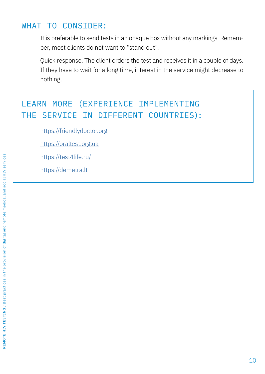## WHAT TO CONSIDER:

It is preferable to send tests in an opaque box without any markings. Remember, most clients do not want to "stand out".

Quick response. The client orders the test and receives it in a couple of days. If they have to wait for a long time, interest in the service might decrease to nothing.

## LEARN MORE (EXPERIENCE IMPLEMENTING THE SERVICE IN DIFFERENT COUNTRIES):

[https://friendlydoctor.org](https://friendlydoctor.org https://oraltest.org.ua https://test4life.ru/ https://demetra.lt )

[https://oraltest.org.ua](https://friendlydoctor.org https://oraltest.org.ua https://test4life.ru/ https://demetra.lt )

[https://test4life.ru/](https://friendlydoctor.org https://oraltest.org.ua https://test4life.ru/ https://demetra.lt )

[https://demetra.lt](https://friendlydoctor.org https://oraltest.org.ua https://test4life.ru/ https://demetra.lt )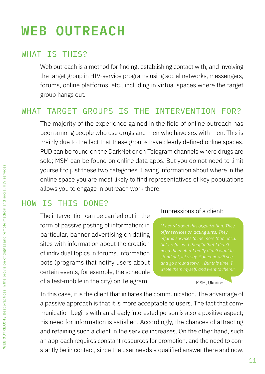# **WEB OUTREACH**

## WHAT IS THIS?

Web outreach is a method for finding, establishing contact with, and involving the target group in HIV-service programs using social networks, messengers, forums, online platforms, etc., including in virtual spaces where the target group hangs out.

## WHAT TARGET GROUPS IS THE INTERVENTION FOR?

The majority of the experience gained in the field of online outreach has been among people who use drugs and men who have sex with men. This is mainly due to the fact that these groups have clearly defined online spaces. PUD can be found on the DarkNet or on Telegram channels where drugs are sold; MSM can be found on online data apps. But you do not need to limit yourself to just these two categories. Having information about where in the online space you are most likely to find representatives of key populations allows you to engage in outreach work there.

## HOW IS THIS DONE?

The intervention can be carried out in the form of passive posting of information: in particular, banner advertising on dating sites with information about the creation of individual topics in forums, information bots (programs that notify users about certain events, for example, the schedule of a test-mobile in the city) on Telegram.

#### Impressions of a client:

*need them. And I really didn't want to* 

#### MSM, Ukraine

In this case, it is the client that initiates the communication. The advantage of a passive approach is that it is more acceptable to users. The fact that communication begins with an already interested person is also a positive aspect; his need for information is satisfied. Accordingly, the chances of attracting and retaining such a client in the service increases. On the other hand, such an approach requires constant resources for promotion, and the need to constantly be in contact, since the user needs a qualified answer there and now.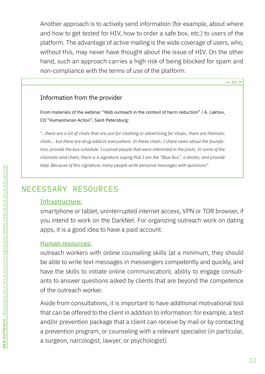Another approach is to actively send information (for example, about where and how to get tested for HIV, how to order a safe box, etc.) to users of the platform. The advantage of active mailing is the wide coverage of users, who, without this, may never have thought about the issue of HIV. On the other hand, such an approach carries a high risk of being blocked for spam and non-compliance with the terms of use of the platform.

#### Information from the provider

From materials of the webinar "Web outreach in the context of harm reduction" / А. Lakhov, CO "Humanitarian Action", Saint Petersburg:

*"...there are a lot of chats that are just for chatting or advertising for shops, there are thematic chats… but there are drug addicts everywhere. In these chats, I share news about the foundation, provide the bus schedule. I counsel people that were interested in the posts. In some of the channels and chats, there is a signature saying that I am the "Blue Bus", a doctor, and provide help. Because of this signature, many people write personal messages with questions".*

# NECESSARY RESOURCES

#### Infrastructure:

smartphone or tablet, uninterrupted internet access, VPN or TOR browser, if you intend to work on the DarkNet. For organizing outreach work on dating apps, it is a good idea to have a paid account.

#### Human resources:

outreach workers with online counseling skills (at a minimum, they should be able to write text messages in messengers competently and quickly, and have the skills to initiate online communication), ability to engage consultants to answer questions asked by clients that are beyond the competence of the outreach worker.

Aside from consultations, it is important to have additional motivational tool that can be offered to the client in addition to information: for example, a test and/or prevention package that a client can receive by mail or by contacting a prevention program, or counseling with a relevant specialist (in particular, a surgeon, narcologist, lawyer, or psychologist).

 $\Box$   $\times$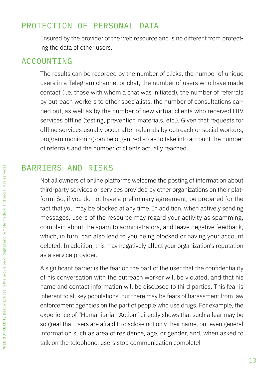## PROTECTION OF PERSONAL DATA

Ensured by the provider of the web resource and is no different from protecting the data of other users.

## ACCOUNTING

The results can be recorded by the number of clicks, the number of unique users in a Telegram channel or chat, the number of users who have made contact (i.e. those with whom a chat was initiated), the number of referrals by outreach workers to other specialists, the number of consultations carried out, as well as by the number of new virtual clients who received HIV services offline (testing, prevention materials, etc.). Given that requests for offline services usually occur after referrals by outreach or social workers, program monitoring can be organized so as to take into account the number of referrals and the number of clients actually reached.

## BARRIERS AND RISKS

Not all owners of online platforms welcome the posting of information about third-party services or services provided by other organizations on their platform. So, if you do not have a preliminary agreement, be prepared for the fact that you may be blocked at any time. In addition, when actively sending messages, users of the resource may regard your activity as spamming, complain about the spam to administrators, and leave negative feedback, which, in turn, can also lead to you being blocked or having your account deleted. In addition, this may negatively affect your organization's reputation as a service provider.

A significant barrier is the fear on the part of the user that the confidentiality of his conversation with the outreach worker will be violated, and that his name and contact information will be disclosed to third parties. This fear is inherent to all key populations, but there may be fears of harassment from law enforcement agencies on the part of people who use drugs. For example, the experience of "Humanitarian Action" directly shows that such a fear may be so great that users are afraid to disclose not only their name, but even general information such as area of residence, age, or gender, and, when asked to talk on the telephone, users stop communication completel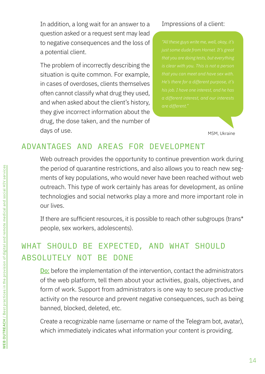In addition, a long wait for an answer to a question asked or a request sent may lead to negative consequences and the loss of a potential client.

The problem of incorrectly describing the situation is quite common. For example, in cases of overdoses, clients themselves often cannot classify what drug they used, and when asked about the client's history, they give incorrect information about the drug, the dose taken, and the number of days of use.

#### Impressions of a client:

MSM, Ukraine

## ADVANTAGES AND AREAS FOR DEVELOPMENT

Web outreach provides the opportunity to continue prevention work during the period of quarantine restrictions, and also allows you to reach new segments of key populations, who would never have been reached without web outreach. This type of work certainly has areas for development, as online technologies and social networks play a more and more important role in our lives.

If there are sufficient resources, it is possible to reach other subgroups (trans\* people, sex workers, adolescents).

## WHAT SHOULD BE EXPECTED, AND WHAT SHOULD ABSOLUTELY NOT BE DONE

**Do:** before the implementation of the intervention, contact the administrators of the web platform, tell them about your activities, goals, objectives, and form of work. Support from administrators is one way to secure productive activity on the resource and prevent negative consequences, such as being banned, blocked, deleted, etc.

Create a recognizable name (username or name of the Telegram bot, avatar), which immediately indicates what information your content is providing.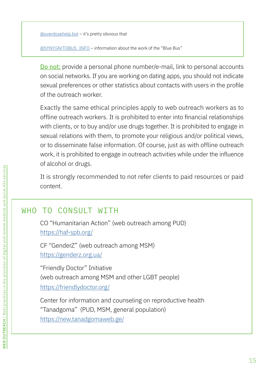[@overdosehelp.bot](mailto:@overdosehelp.bot) – it's pretty obvious that

[@SYNYIAVTOBUS\\_INFO](mailto:@SYNYIAVTOBUS_INFO) – information about the work of the "Blue Bus"

Do not: provide a personal phone number/e-mail, link to personal accounts on social networks. If you are working on dating apps, you should not indicate sexual preferences or other statistics about contacts with users in the profile of the outreach worker.

Exactly the same ethical principles apply to web outreach workers as to offline outreach workers. It is prohibited to enter into financial relationships with clients, or to buy and/or use drugs together. It is prohibited to engage in sexual relations with them, to promote your religious and/or political views, or to disseminate false information. Of course, just as with offline outreach work, it is prohibited to engage in outreach activities while under the influence of alcohol or drugs.

It is strongly recommended to not refer clients to paid resources or paid content.

## WHO TO CONSULT WITH

CO "Humanitarian Action" (web outreach among PUD) <https://haf-spb.org/>

CF "GenderZ" (web outreach among MSM) <https://genderz.org.ua/>

"Friendly Doctor" Initiative (web outreach among MSM and other LGBT people) <https://friendlydoctor.org/>

Сenter for information and counseling on reproductive health "Tanadgoma" (PUD, MSM, general population) <https://new.tanadgomaweb.ge/>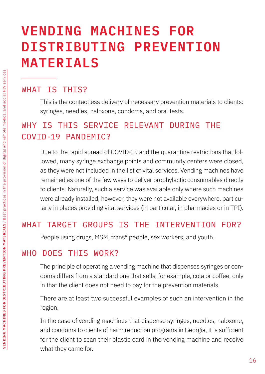# **VENDING MACHINES FOR DISTRIBUTING PREVENTION MATERIALS**

## WHAT IS THIS?

This is the contactless delivery of necessary prevention materials to clients: syringes, needles, naloxone, condoms, and oral tests.

# WHY IS THIS SERVICE RELEVANT DURING THE COVID-19 PANDEMIC?

Due to the rapid spread of COVID-19 and the quarantine restrictions that followed, many syringe exchange points and community centers were closed, as they were not included in the list of vital services. Vending machines have remained as one of the few ways to deliver prophylactic consumables directly to clients. Naturally, such a service was available only where such machines were already installed, however, they were not available everywhere, particularly in places providing vital services (in particular, in pharmacies or in TPI).

## WHAT TARGET GROUPS IS THE INTERVENTION FOR?

People using drugs, MSM, trans\* people, sex workers, and youth.

## WHO DOES THIS WORK?

The principle of operating a vending machine that dispenses syringes or condoms differs from a standard one that sells, for example, cola or coffee, only in that the client does not need to pay for the prevention materials.

There are at least two successful examples of such an intervention in the region.

In the case of vending machines that dispense syringes, needles, naloxone, and condoms to clients of harm reduction programs in Georgia, it is sufficient for the client to scan their plastic card in the vending machine and receive what they came for.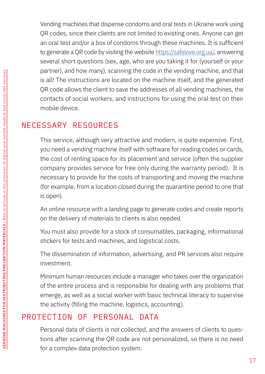Vending machines that dispense condoms and oral tests in Ukraine work using QR codes, since their clients are not limited to existing ones. Anyone can get an oral test and/or a box of condoms through these machines. It is sufficient to generate a QR code by visiting the website <https://safelove.org.ua/>, answering several short questions (sex, age, who are you taking it for (yourself or your partner), and how many), scanning the code in the vending machine, and that is all! The instructions are located on the machine itself, and the generated QR code allows the client to save the addresses of all vending machines, the contacts of social workers, and instructions for using the oral test on their mobile device.

## NECESSARY RESOURCES

This service, although very attractive and modern, is quite expensive. First, you need a vending machine itself with software for reading codes or cards, the cost of renting space for its placement and service (often the supplier company provides service for free only during the warranty period). It is necessary to provide for the costs of transporting and moving the machine (for example, from a location closed during the quarantine period to one that is open).

An online resource with a landing page to generate codes and create reports on the delivery of materials to clients is also needed.

You must also provide for a stock of consumables, packaging, informational stickers for tests and machines, and logistical costs.

The dissemination of information, advertising, and PR services also require investment.

Minimum human resources include a manager who takes over the organization of the entire process and is responsible for dealing with any problems that emerge, as well as a social worker with basic technical literacy to supervise the activity (filling the machine, logistics, accounting).

## PROTECTION OF PERSONAL DATA

Personal data of clients is not collected, and the answers of clients to questions after scanning the QR code are not personalized, so there is no need for a complex data protection system.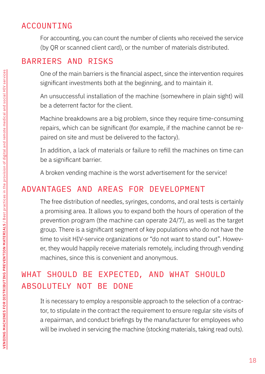## ACCOUNTING

For accounting, you can count the number of clients who received the service (by QR or scanned client card), or the number of materials distributed.

# BARRIERS AND RISKS

One of the main barriers is the financial aspect, since the intervention requires significant investments both at the beginning, and to maintain it.

An unsuccessful installation of the machine (somewhere in plain sight) will be a deterrent factor for the client.

Machine breakdowns are a big problem, since they require time-consuming repairs, which can be significant (for example, if the machine cannot be repaired on site and must be delivered to the factory).

In addition, a lack of materials or failure to refill the machines on time can be a significant barrier.

A broken vending machine is the worst advertisement for the service!

# ADVANTAGES AND AREAS FOR DEVELOPMENT

The free distribution of needles, syringes, condoms, and oral tests is certainly a promising area. It allows you to expand both the hours of operation of the prevention program (the machine can operate 24/7), as well as the target group. There is a significant segment of key populations who do not have the time to visit HIV-service organizations or "do not want to stand out". However, they would happily receive materials remotely, including through vending machines, since this is convenient and anonymous.

# WHAT SHOULD BE EXPECTED, AND WHAT SHOULD ABSOLUTELY NOT BE DONE

It is necessary to employ a responsible approach to the selection of a contractor, to stipulate in the contract the requirement to ensure regular site visits of a repairman, and conduct briefings by the manufacturer for employees who will be involved in servicing the machine (stocking materials, taking read outs).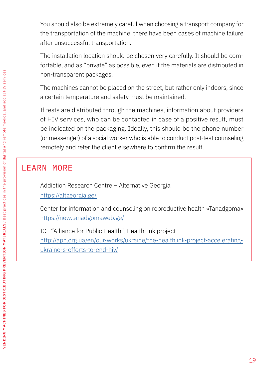You should also be extremely careful when choosing a transport company for the transportation of the machine: there have been cases of machine failure after unsuccessful transportation.

The installation location should be chosen very carefully. It should be comfortable, and as "private" as possible, even if the materials are distributed in non-transparent packages.

The machines cannot be placed on the street, but rather only indoors, since a certain temperature and safety must be maintained.

If tests are distributed through the machines, information about providers of HIV services, who can be contacted in case of a positive result, must be indicated on the packaging. Ideally, this should be the phone number (or messenger) of a social worker who is able to conduct post-test counseling remotely and refer the client elsewhere to confirm the result.

## LEARN MORE

Addiction Research Centre – Alternative Georgia <https://altgeorgia.ge/>

Сenter for information and counseling on reproductive health «Tanadgoma» <https://new.tanadgomaweb.ge/>

ICF "Alliance for Public Health", HealthLink project [http://aph.org.ua/en/our-works/ukraine/the-healthlink-project-accelerating](http://aph.org.ua/en/our-works/ukraine/the-healthlink-project-accelerating-ukraine-s-efforts-to-end-hiv/)[ukraine-s-efforts-to-end-hiv/](http://aph.org.ua/en/our-works/ukraine/the-healthlink-project-accelerating-ukraine-s-efforts-to-end-hiv/)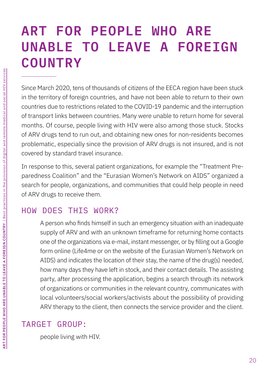# **ART FOR PEOPLE WHO ARE UNABLE TO LEAVE A FOREIGN COUNTRY**

Since March 2020, tens of thousands of citizens of the EECA region have been stuck in the territory of foreign countries, and have not been able to return to their own countries due to restrictions related to the COVID-19 pandemic and the interruption of transport links between countries. Many were unable to return home for several months. Of course, people living with HIV were also among those stuck. Stocks of ARV drugs tend to run out, and obtaining new ones for non-residents becomes problematic, especially since the provision of ARV drugs is not insured, and is not covered by standard travel insurance.

In response to this, several patient organizations, for example the "Treatment Preparedness Coalition" and the "Eurasian Women's Network on AIDS" organized a search for people, organizations, and communities that could help people in need of ARV drugs to receive them.

# HOW DOES THIS WORK?

A person who finds himself in such an emergency situation with an inadequate supply of ARV and with an unknown timeframe for returning home contacts one of the organizations via e-mail, instant messenger, or by filling out a Google form online (Life4me or on the website of the Eurasian Women's Network on AIDS) and indicates the location of their stay, the name of the drug(s) needed, how many days they have left in stock, and their contact details. The assisting party, after processing the application, begins a search through its network of organizations or communities in the relevant country, communicates with local volunteers/social workers/activists about the possibility of providing ARV therapy to the client, then connects the service provider and the client.

# TARGET GROUP:

people living with HIV.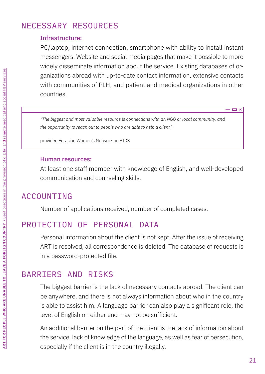## NECESSARY RESOURCES

### Infrastructure:

PC/laptop, internet connection, smartphone with ability to install instant messengers. Website and social media pages that make it possible to more widely disseminate information about the service. Existing databases of organizations abroad with up-to-date contact information, extensive contacts with communities of PLH, and patient and medical organizations in other countries.

*"The biggest and most valuable resource is connections with an NGO or local community, and the opportunity to reach out to people who are able to help a client."*

provider, Eurasian Women's Network on AIDS

#### Human resources:

At least one staff member with knowledge of English, and well-developed communication and counseling skills.

## ACCOUNTING

Number of applications received, number of completed cases.

## PROTECTION OF PERSONAL DATA

Personal information about the client is not kept. After the issue of receiving ART is resolved, all correspondence is deleted. The database of requests is in a password-protected file.

## BARRIERS AND RISKS

The biggest barrier is the lack of necessary contacts abroad. The client can be anywhere, and there is not always information about who in the country is able to assist him. A language barrier can also play a significant role, the level of English on either end may not be sufficient.

An additional barrier on the part of the client is the lack of information about the service, lack of knowledge of the language, as well as fear of persecution, especially if the client is in the country illegally.

 $\Box$   $\times$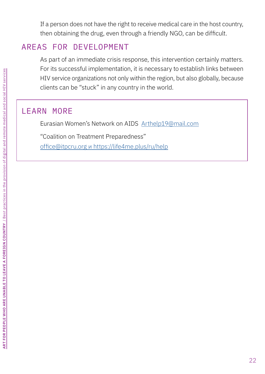If a person does not have the right to receive medical care in the host country, then obtaining the drug, even through a friendly NGO, can be difficult.

## AREAS FOR DEVELOPMENT

As part of an immediate crisis response, this intervention certainly matters. For its successful implementation, it is necessary to establish links between HIV service organizations not only within the region, but also globally, because clients can be "stuck" in any country in the world.

## LEARN MORE

Eurasian Women's Network on AIDS [Arthelp19@mail.com](mailto:Arthelp19@mail.com)

"Coalition on Treatment Preparedness"

[office@itpcru.org и https://life4me.plus/ru/help](mailto:office@itpcru.org и https://life4me.plus/ru/help)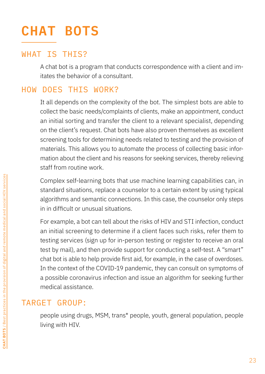# **CHAT BOTS**

## WHAT IS THIS?

A chat bot is a program that conducts correspondence with a client and imitates the behavior of a consultant.

## HOW DOES THIS WORK?

It all depends on the complexity of the bot. The simplest bots are able to collect the basic needs/complaints of clients, make an appointment, conduct an initial sorting and transfer the client to a relevant specialist, depending on the client's request. Chat bots have also proven themselves as excellent screening tools for determining needs related to testing and the provision of materials. This allows you to automate the process of collecting basic information about the client and his reasons for seeking services, thereby relieving staff from routine work.

Complex self-learning bots that use machine learning capabilities can, in standard situations, replace a counselor to a certain extent by using typical algorithms and semantic connections. In this case, the counselor only steps in in difficult or unusual situations.

For example, a bot can tell about the risks of HIV and STI infection, conduct an initial screening to determine if a client faces such risks, refer them to testing services (sign up for in-person testing or register to receive an oral test by mail), and then provide support for conducting a self-test. A "smart" chat bot is able to help provide first aid, for example, in the case of overdoses. In the context of the COVID-19 pandemic, they can consult on symptoms of a possible coronavirus infection and issue an algorithm for seeking further medical assistance.

## TARGET GROUP:

people using drugs, MSM, trans\* people, youth, general population, people living with HIV.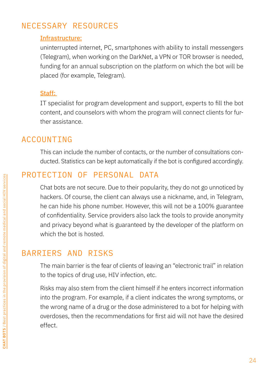## NECESSARY RESOURCES

### Infrastructure:

uninterrupted internet, PC, smartphones with ability to install messengers (Telegram), when working on the DarkNet, a VPN or TOR browser is needed, funding for an annual subscription on the platform on which the bot will be placed (for example, Telegram).

### Staff:

IT specialist for program development and support, experts to fill the bot content, and counselors with whom the program will connect clients for further assistance.

## ACCOUNTING

This can include the number of contacts, or the number of consultations conducted. Statistics can be kept automatically if the bot is configured accordingly.

## PROTECTION OF PERSONAL DATA

Chat bots are not secure. Due to their popularity, they do not go unnoticed by hackers. Of course, the client can always use a nickname, and, in Telegram, he can hide his phone number. However, this will not be a 100% guarantee of confidentiality. Service providers also lack the tools to provide anonymity and privacy beyond what is guaranteed by the developer of the platform on which the bot is hosted.

## BARRIERS AND RISKS

The main barrier is the fear of clients of leaving an "electronic trail" in relation to the topics of drug use, HIV infection, etc.

Risks may also stem from the client himself if he enters incorrect information into the program. For example, if a client indicates the wrong symptoms, or the wrong name of a drug or the dose administered to a bot for helping with overdoses, then the recommendations for first aid will not have the desired effect.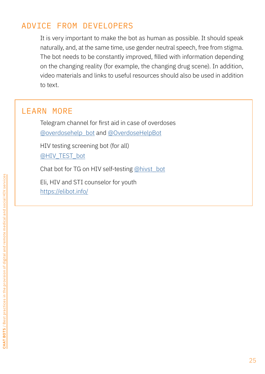## ADVICE FROM DEVELOPERS

It is very important to make the bot as human as possible. It should speak naturally, and, at the same time, use gender neutral speech, free from stigma. The bot needs to be constantly improved, filled with information depending on the changing reality (for example, the changing drug scene). In addition, video materials and links to useful resources should also be used in addition to text.

### LEARN MORE

Telegram channel for first aid in case of overdoses [@overdosehelp\\_bot](mailto:@overdosehelp_bot) and [@OverdoseHelpBot](mailto:@OverdoseHelpBot)

HIV testing screening bot (for all) [@HIV\\_TEST\\_bot](mailto:@HIV_TEST_bot )

Chat bot for TG on HIV self-testing [@hivst\\_bot](mailto:@hivst_bot)

Eli, HIV and STI counselor for youth <https://elibot.info/>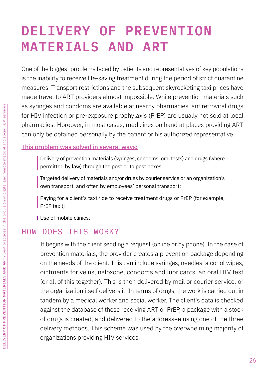# **DELIVERY OF PREVENTION MATERIALS AND ART**

One of the biggest problems faced by patients and representatives of key populations is the inability to receive life-saving treatment during the period of strict quarantine measures. Transport restrictions and the subsequent skyrocketing taxi prices have made travel to ART providers almost impossible. While prevention materials such as syringes and condoms are available at nearby pharmacies, antiretroviral drugs for HIV infection or pre-exposure prophylaxis (PrEP) are usually not sold at local pharmacies. Moreover, in most cases, medicines on hand at places providing ART can only be obtained personally by the patient or his authorized representative.

This problem was solved in several ways:

Delivery of prevention materials (syringes, condoms, oral tests) and drugs (where permitted by law) through the post or to post boxes;

Targeted delivery of materials and/or drugs by courier service or an organization's own transport, and often by employees' personal transport;

Paying for a client's taxi ride to receive treatment drugs or PrEP (for example, PrEP taxi);

Use of mobile clinics.

## HOW DOES THIS WORK?

It begins with the client sending a request (online or by phone). In the case of prevention materials, the provider creates a prevention package depending on the needs of the client. This can include syringes, needles, alcohol wipes, ointments for veins, naloxone, condoms and lubricants, an oral HIV test (or all of this together). This is then delivered by mail or courier service, or the organization itself delivers it. In terms of drugs, the work is carried out in tandem by a medical worker and social worker. The client's data is checked against the database of those receiving ART or PrEP, a package with a stock of drugs is created, and delivered to the addressee using one of the three delivery methods. This scheme was used by the overwhelming majority of organizations providing HIV services.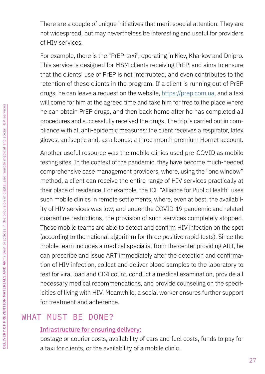There are a couple of unique initiatives that merit special attention. They are not widespread, but may nevertheless be interesting and useful for providers of HIV services.

For example, there is the "PrEP-taxi", operating in Kiev, Kharkov and Dnipro. This service is designed for MSM clients receiving PrEP, and aims to ensure that the clients' use of PrEP is not interrupted, and even contributes to the retention of these clients in the program. If a client is running out of PrEP drugs, he can leave a request on the website, [https://prep.com.ua,](https://prep.com.ua) and a taxi will come for him at the agreed time and take him for free to the place where he can obtain PrEP drugs, and then back home after he has completed all procedures and successfully received the drugs. The trip is carried out in compliance with all anti-epidemic measures: the client receives a respirator, latex gloves, antiseptic and, as a bonus, a three-month premium Hornet account.

Another useful resource was the mobile clinics used pre-COVID as mobile testing sites. In the context of the pandemic, they have become much-needed comprehensive case management providers, where, using the "one window" method, a client can receive the entire range of HIV services practically at their place of residence. For example, the ICF "Alliance for Public Health" uses such mobile clinics in remote settlements, where, even at best, the availability of HIV services was low, and under the COVID-19 pandemic and related quarantine restrictions, the provision of such services completely stopped. These mobile teams are able to detect and confirm HIV infection on the spot (according to the national algorithm for three positive rapid tests). Since the mobile team includes a medical specialist from the center providing ART, he can prescribe and issue ART immediately after the detection and confirmation of HIV infection, collect and deliver blood samples to the laboratory to test for viral load and CD4 count, conduct a medical examination, provide all necessary medical recommendations, and provide counseling on the specificities of living with HIV. Meanwhile, a social worker ensures further support for treatment and adherence.

## WHAT MUST BE DONE?

### Infrastructure for ensuring delivery:

postage or courier costs, availability of cars and fuel costs, funds to pay for a taxi for clients, or the availability of a mobile clinic.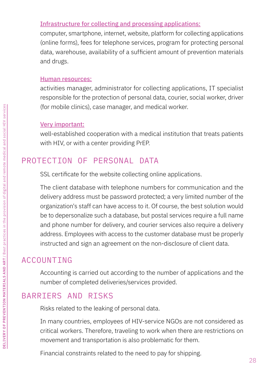### Infrastructure for collecting and processing applications:

computer, smartphone, internet, website, platform for collecting applications (online forms), fees for telephone services, program for protecting personal data, warehouse, availability of a sufficient amount of prevention materials and drugs.

#### Human resources:

activities manager, administrator for collecting applications, IT specialist responsible for the protection of personal data, courier, social worker, driver (for mobile clinics), case manager, and medical worker.

#### Very important:

well-established cooperation with a medical institution that treats patients with HIV, or with a center providing PrEP.

## PROTECTION OF PERSONAL DATA

SSL certificate for the website collecting online applications.

The client database with telephone numbers for communication and the delivery address must be password protected; a very limited number of the organization's staff can have access to it. Of course, the best solution would be to depersonalize such a database, but postal services require a full name and phone number for delivery, and courier services also require a delivery address. Employees with access to the customer database must be properly instructed and sign an agreement on the non-disclosure of client data.

## ACCOUNTING

Accounting is carried out according to the number of applications and the number of completed deliveries/services provided.

## BARRIERS AND RISKS

Risks related to the leaking of personal data.

In many countries, employees of HIV-service NGOs are not considered as critical workers. Therefore, traveling to work when there are restrictions on movement and transportation is also problematic for them.

Financial constraints related to the need to pay for shipping.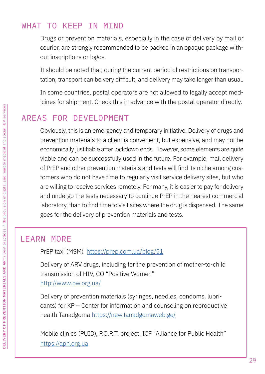## WHAT TO KEEP IN MIND

Drugs or prevention materials, especially in the case of delivery by mail or courier, are strongly recommended to be packed in an opaque package without inscriptions or logos.

It should be noted that, during the current period of restrictions on transportation, transport can be very difficult, and delivery may take longer than usual.

In some countries, postal operators are not allowed to legally accept medicines for shipment. Check this in advance with the postal operator directly.

## AREAS FOR DEVELOPMENT

Obviously, this is an emergency and temporary initiative. Delivery of drugs and prevention materials to a client is convenient, but expensive, and may not be economically justifiable after lockdown ends. However, some elements are quite viable and can be successfully used in the future. For example, mail delivery of PrEP and other prevention materials and tests will find its niche among customers who do not have time to regularly visit service delivery sites, but who are willing to receive services remotely. For many, it is easier to pay for delivery and undergo the tests necessary to continue PrEP in the nearest commercial laboratory, than to find time to visit sites where the drug is dispensed. The same goes for the delivery of prevention materials and tests.

## LEARN MORE

PrEP taxi (MSM) <https://prep.com.ua/blog/51>

Delivery of ARV drugs, including for the prevention of mother-to-child transmission of HIV, CO "Positive Women" <http://www.pw.org.ua/>

Delivery of prevention materials (syringes, needles, condoms, lubricants) for KP – Сenter for information and counseling on reproductive health Tanadgoma [https://new.tanadgomaweb.ge/](https://new.tanadgomaweb.ge/ )

Mobile clinics (PUID), P.O.R.T. project, ICF "Alliance for Public Health" <https://aph.org.ua>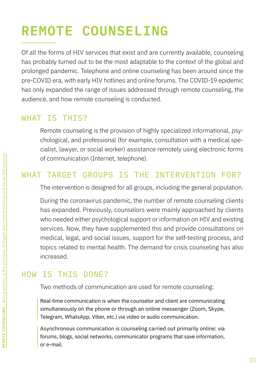# **REMOTE COUNSELING**

Of all the forms of HIV services that exist and are currently available, counseling has probably turned out to be the most adaptable to the context of the global and prolonged pandemic. Telephone and online counseling has been around since the pre-COVID era, with early HIV hotlines and online forums. The COVID-19 epidemic has only expanded the range of issues addressed through remote counseling, the audience, and how remote counseling is conducted.

## WHAT IS THIS?

Remote counseling is the provision of highly specialized informational, psychological, and professional (for example, consultation with a medical specialist, lawyer, or social worker) assistance remotely using electronic forms of communication (Internet, telephone).

## WHAT TARGET GROUPS IS THE INTERVENTION FOR?

The intervention is designed for all groups, including the general population.

During the coronavirus pandemic, the number of remote counseling clients has expanded. Previously, counselors were mainly approached by clients who needed either psychological support or information on HIV and existing services. Now, they have supplemented this and provide consultations on medical, legal, and social issues, support for the self-testing process, and topics related to mental health. The demand for crisis counseling has also increased.

# HOW IS THIS DONE?

Two methods of communication are used for remote counseling:

Real-time communication is when the counselor and client are communicating simultaneously on the phone or through an online messenger (Zoom, Skype, Telegram, WhatsApp, Viber, etc.) via video or audio communication.

Asynchronous communication is counseling carried out primarily online: via forums, blogs, social networks, communicator programs that save information, or e-mail.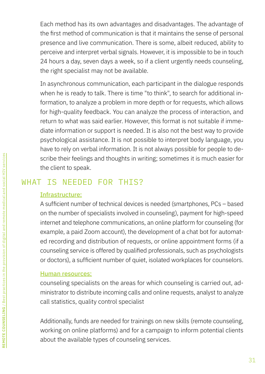Each method has its own advantages and disadvantages. The advantage of the first method of communication is that it maintains the sense of personal presence and live communication. There is some, albeit reduced, ability to perceive and interpret verbal signals. However, it is impossible to be in touch 24 hours a day, seven days a week, so if a client urgently needs counseling, the right specialist may not be available.

In asynchronous communication, each participant in the dialogue responds when he is ready to talk. There is time "to think", to search for additional information, to analyze a problem in more depth or for requests, which allows for high-quality feedback. You can analyze the process of interaction, and return to what was said earlier. However, this format is not suitable if immediate information or support is needed. It is also not the best way to provide psychological assistance. It is not possible to interpret body language, you have to rely on verbal information. It is not always possible for people to describe their feelings and thoughts in writing; sometimes it is much easier for the client to speak.

## WHAT IS NEEDED FOR THIS?

### Infrastructure:

A sufficient number of technical devices is needed (smartphones, PCs – based on the number of specialists involved in counseling), payment for high-speed internet and telephone communications, an online platform for counseling (for example, a paid Zoom account), the development of a chat bot for automated recording and distribution of requests, or online appointment forms (if a counseling service is offered by qualified professionals, such as psychologists or doctors), a sufficient number of quiet, isolated workplaces for counselors.

### Human resources:

counseling specialists on the areas for which counseling is carried out, administrator to distribute incoming calls and online requests, analyst to analyze call statistics, quality control specialist

Additionally, funds are needed for trainings on new skills (remote counseling, working on online platforms) and for a campaign to inform potential clients about the available types of counseling services.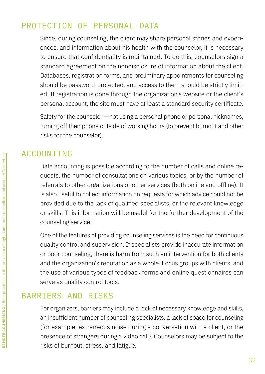## PROTECTION OF PERSONAL DATA

Since, during counseling, the client may share personal stories and experiences, and information about his health with the counselor, it is necessary to ensure that confidentiality is maintained. To do this, counselors sign a standard agreement on the nondisclosure of information about the client. Databases, registration forms, and preliminary appointments for counseling should be password-protected, and access to them should be strictly limited. If registration is done through the organization's website or the client's personal account, the site must have at least a standard security certificate.

Safety for the counselor — not using a personal phone or personal nicknames, turning off their phone outside of working hours (to prevent burnout and other risks for the counselor).

## ACCOUNTING

Data accounting is possible according to the number of calls and online requests, the number of consultations on various topics, or by the number of referrals to other organizations or other services (both online and offline). It is also useful to collect information on requests for which advice could not be provided due to the lack of qualified specialists, or the relevant knowledge or skills. This information will be useful for the further development of the counseling service.

One of the features of providing counseling services is the need for continuous quality control and supervision. If specialists provide inaccurate information or poor counseling, there is harm from such an intervention for both clients and the organization's reputation as a whole. Focus groups with clients, and the use of various types of feedback forms and online questionnaires can serve as quality control tools.

## BARRIERS AND RISKS

For organizers, barriers may include a lack of necessary knowledge and skills, an insufficient number of counseling specialists, a lack of space for counseling (for example, extraneous noise during a conversation with a client, or the presence of strangers during a video call). Counselors may be subject to the risks of burnout, stress, and fatigue.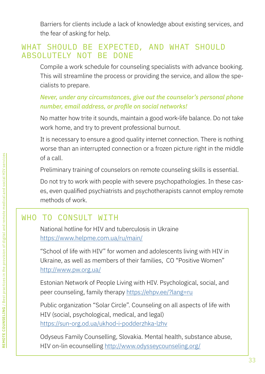Barriers for clients include a lack of knowledge about existing services, and the fear of asking for help.

## WHAT SHOULD BE EXPECTED, AND WHAT SHOULD ABSOLUTELY NOT BE DONE

Compile a work schedule for counseling specialists with advance booking. This will streamline the process or providing the service, and allow the specialists to prepare.

### *Never, under any circumstances, give out the counselor's personal phone number, email address, or profile on social networks!*

No matter how trite it sounds, maintain a good work-life balance. Do not take work home, and try to prevent professional burnout.

It is necessary to ensure a good quality internet connection. There is nothing worse than an interrupted connection or a frozen picture right in the middle of a call.

Preliminary training of counselors on remote counseling skills is essential.

Do not try to work with people with severe psychopathologies. In these cases, even qualified psychiatrists and psychotherapists cannot employ remote methods of work.

# WHO TO CONSULT WITH

National hotline for HIV and tuberculosis in Ukraine <https://www.helpme.com.ua/ru/main/>

"School of life with HIV" for women and adolescents living with HIV in Ukraine, as well as members of their families, CO "Positive Women" <http://www.pw.org.ua/>

Estonian Network of People Living with HIV. Psychological, social, and peer counseling, family therapy<https://ehpv.ee/?lang=ru>

Public organization "Solar Circle". Counseling on all aspects of life with HIV (social, psychological, medical, and legal) <https://sun-org.od.ua/ukhod-i-podderzhka-lzhv>

Odyseus Family Counselling, Slovakia. Mental health, substance abuse, HIV on-lin ecounselling<http://www.odysseycounseling.org/>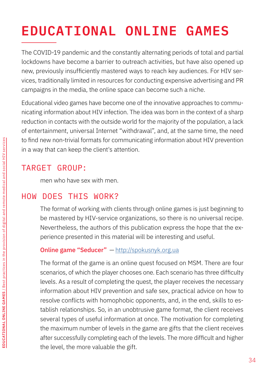# **EDUCATIONAL ONLINE GAMES**

The COVID-19 pandemic and the constantly alternating periods of total and partial lockdowns have become a barrier to outreach activities, but have also opened up new, previously insufficiently mastered ways to reach key audiences. For HIV services, traditionally limited in resources for conducting expensive advertising and PR campaigns in the media, the online space can become such a niche.

Educational video games have become one of the innovative approaches to communicating information about HIV infection. The idea was born in the context of a sharp reduction in contacts with the outside world for the majority of the population, a lack of entertainment, universal Internet "withdrawal", and, at the same time, the need to find new non-trivial formats for communicating information about HIV prevention in a way that can keep the client's attention.

## TARGET GROUP:

men who have sex with men.

# HOW DOES THIS WORK?

The format of working with clients through online games is just beginning to be mastered by HIV-service organizations, so there is no universal recipe. Nevertheless, the authors of this publication express the hope that the experience presented in this material will be interesting and useful.

### Online game "Seducer" - <http://spokusnyk.org.ua>

The format of the game is an online quest focused on MSM. There are four scenarios, of which the player chooses one. Each scenario has three difficulty levels. As a result of completing the quest, the player receives the necessary information about HIV prevention and safe sex, practical advice on how to resolve conflicts with homophobic opponents, and, in the end, skills to establish relationships. So, in an unobtrusive game format, the client receives several types of useful information at once. The motivation for completing the maximum number of levels in the game are gifts that the client receives after successfully completing each of the levels. The more difficult and higher the level, the more valuable the gift.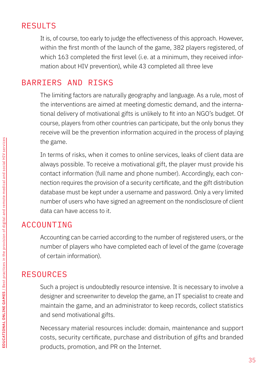# RESULTS

It is, of course, too early to judge the effectiveness of this approach. However, within the first month of the launch of the game, 382 players registered, of which 163 completed the first level (i.e. at a minimum, they received information about HIV prevention), while 43 completed all three leve

## BARRIERS AND RISKS

The limiting factors are naturally geography and language. As a rule, most of the interventions are aimed at meeting domestic demand, and the international delivery of motivational gifts is unlikely to fit into an NGO's budget. Of course, players from other countries can participate, but the only bonus they receive will be the prevention information acquired in the process of playing the game.

In terms of risks, when it comes to online services, leaks of client data are always possible. To receive a motivational gift, the player must provide his contact information (full name and phone number). Accordingly, each connection requires the provision of a security certificate, and the gift distribution database must be kept under a username and password. Only a very limited number of users who have signed an agreement on the nondisclosure of client data can have access to it.

## ACCOUNTING

Accounting can be carried according to the number of registered users, or the number of players who have completed each of level of the game (coverage of certain information).

# RESOURCES

Such a project is undoubtedly resource intensive. It is necessary to involve a designer and screenwriter to develop the game, an IT specialist to create and maintain the game, and an administrator to keep records, collect statistics and send motivational gifts.

Necessary material resources include: domain, maintenance and support costs, security certificate, purchase and distribution of gifts and branded products, promotion, and PR on the Internet.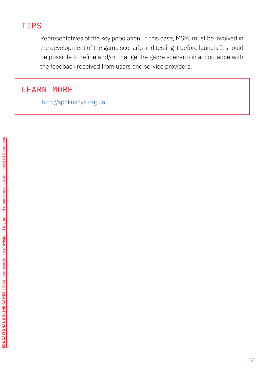# TIPS

Representatives of the key population, in this case, MSM, must be involved in the development of the game scenario and testing it before launch. It should be possible to refine and/or change the game scenario in accordance with the feedback received from users and service providers.

## LEARN MORE

 [http://spokusnyk.org.ua]( http://spokusnyk.org.ua)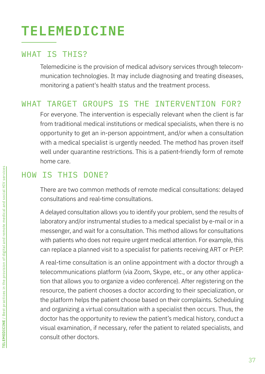# **TELEMEDICINE**

## WHAT IS THIS?

Telemedicine is the provision of medical advisory services through telecommunication technologies. It may include diagnosing and treating diseases, monitoring a patient's health status and the treatment process.

## WHAT TARGET GROUPS IS THE INTERVENTION FOR?

For everyone. The intervention is especially relevant when the client is far from traditional medical institutions or medical specialists, when there is no opportunity to get an in-person appointment, and/or when a consultation with a medical specialist is urgently needed. The method has proven itself well under quarantine restrictions. This is a patient-friendly form of remote home care.

## HOW IS THIS DONE?

There are two common methods of remote medical consultations: delayed consultations and real-time consultations.

A delayed consultation allows you to identify your problem, send the results of laboratory and/or instrumental studies to a medical specialist by e-mail or in a messenger, and wait for a consultation. This method allows for consultations with patients who does not require urgent medical attention. For example, this can replace a planned visit to a specialist for patients receiving ART or PrEP.

A real-time consultation is an online appointment with a doctor through a telecommunications platform (via Zoom, Skype, etc., or any other application that allows you to organize a video conference). After registering on the resource, the patient chooses a doctor according to their specialization, or the platform helps the patient choose based on their complaints. Scheduling and organizing a virtual consultation with a specialist then occurs. Thus, the doctor has the opportunity to review the patient's medical history, conduct a visual examination, if necessary, refer the patient to related specialists, and consult other doctors.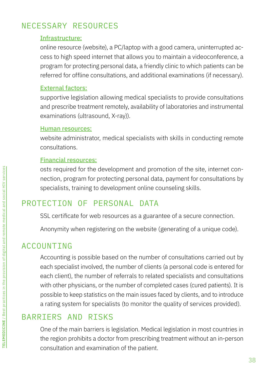# NECESSARY RESOURCES

### Infrastructure:

online resource (website), a PC/laptop with a good camera, uninterrupted access to high speed internet that allows you to maintain a videoconference, a program for protecting personal data, a friendly clinic to which patients can be referred for offline consultations, and additional examinations (if necessary).

### External factors:

supportive legislation allowing medical specialists to provide consultations and prescribe treatment remotely, availability of laboratories and instrumental examinations (ultrasound, X-ray)).

#### Human resources:

website administrator, medical specialists with skills in conducting remote consultations.

### Financial resources:

osts required for the development and promotion of the site, internet connection, program for protecting personal data, payment for consultations by specialists, training to development online counseling skills.

## PROTECTION OF PERSONAL DATA

SSL certificate for web resources as a guarantee of a secure connection.

Anonymity when registering on the website (generating of a unique code).

## ACCOUNTING

Accounting is possible based on the number of consultations carried out by each specialist involved, the number of clients (a personal code is entered for each client), the number of referrals to related specialists and consultations with other physicians, or the number of completed cases (cured patients). It is possible to keep statistics on the main issues faced by clients, and to introduce a rating system for specialists (to monitor the quality of services provided).

# BARRIERS AND RISKS

One of the main barriers is legislation. Medical legislation in most countries in the region prohibits a doctor from prescribing treatment without an in-person consultation and examination of the patient.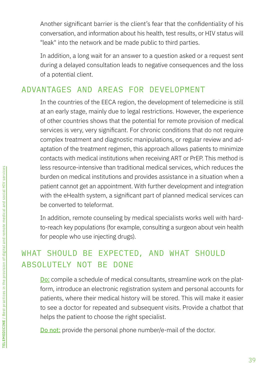Another significant barrier is the client's fear that the confidentiality of his conversation, and information about his health, test results, or HIV status will "leak" into the network and be made public to third parties.

In addition, a long wait for an answer to a question asked or a request sent during a delayed consultation leads to negative consequences and the loss of a potential client.

# ADVANTAGES AND AREAS FOR DEVELOPMENT

In the countries of the EECA region, the development of telemedicine is still at an early stage, mainly due to legal restrictions. However, the experience of other countries shows that the potential for remote provision of medical services is very, very significant. For chronic conditions that do not require complex treatment and diagnostic manipulations, or regular review and adaptation of the treatment regimen, this approach allows patients to minimize contacts with medical institutions when receiving ART or PrEP. This method is less resource-intensive than traditional medical services, which reduces the burden on medical institutions and provides assistance in a situation when a patient cannot get an appointment. With further development and integration with the eHealth system, a significant part of planned medical services can be converted to teleformat.

In addition, remote counseling by medical specialists works well with hardto-reach key populations (for example, consulting a surgeon about vein health for people who use injecting drugs).

# WHAT SHOULD BE EXPECTED, AND WHAT SHOULD ABSOLUTELY NOT BE DONE

Do: compile a schedule of medical consultants, streamline work on the platform, introduce an electronic registration system and personal accounts for patients, where their medical history will be stored. This will make it easier to see a doctor for repeated and subsequent visits. Provide a chatbot that helps the patient to choose the right specialist.

Do not: provide the personal phone number/e-mail of the doctor.